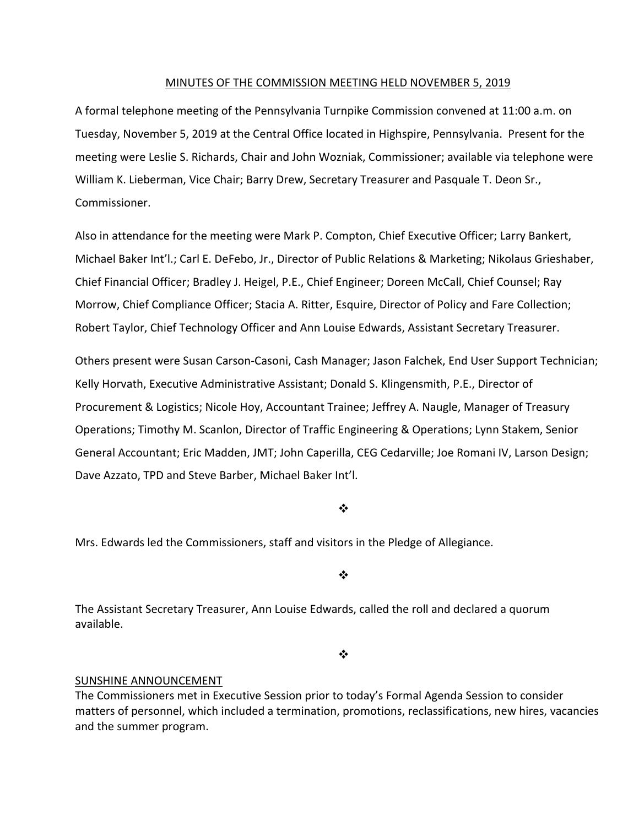## MINUTES OF THE COMMISSION MEETING HELD NOVEMBER 5, 2019

A formal telephone meeting of the Pennsylvania Turnpike Commission convened at 11:00 a.m. on Tuesday, November 5, 2019 at the Central Office located in Highspire, Pennsylvania. Present for the meeting were Leslie S. Richards, Chair and John Wozniak, Commissioner; available via telephone were William K. Lieberman, Vice Chair; Barry Drew, Secretary Treasurer and Pasquale T. Deon Sr., Commissioner.

Also in attendance for the meeting were Mark P. Compton, Chief Executive Officer; Larry Bankert, Michael Baker Int'l.; Carl E. DeFebo, Jr., Director of Public Relations & Marketing; Nikolaus Grieshaber, Chief Financial Officer; Bradley J. Heigel, P.E., Chief Engineer; Doreen McCall, Chief Counsel; Ray Morrow, Chief Compliance Officer; Stacia A. Ritter, Esquire, Director of Policy and Fare Collection; Robert Taylor, Chief Technology Officer and Ann Louise Edwards, Assistant Secretary Treasurer.

Others present were Susan Carson‐Casoni, Cash Manager; Jason Falchek, End User Support Technician; Kelly Horvath, Executive Administrative Assistant; Donald S. Klingensmith, P.E., Director of Procurement & Logistics; Nicole Hoy, Accountant Trainee; Jeffrey A. Naugle, Manager of Treasury Operations; Timothy M. Scanlon, Director of Traffic Engineering & Operations; Lynn Stakem, Senior General Accountant; Eric Madden, JMT; John Caperilla, CEG Cedarville; Joe Romani IV, Larson Design; Dave Azzato, TPD and Steve Barber, Michael Baker Int'l.

### $\cdot$

Mrs. Edwards led the Commissioners, staff and visitors in the Pledge of Allegiance.

### ❖

The Assistant Secretary Treasurer, Ann Louise Edwards, called the roll and declared a quorum available.

 $\bullet^{\bullet}_{\bullet} \bullet$ 

### SUNSHINE ANNOUNCEMENT

The Commissioners met in Executive Session prior to today's Formal Agenda Session to consider matters of personnel, which included a termination, promotions, reclassifications, new hires, vacancies and the summer program.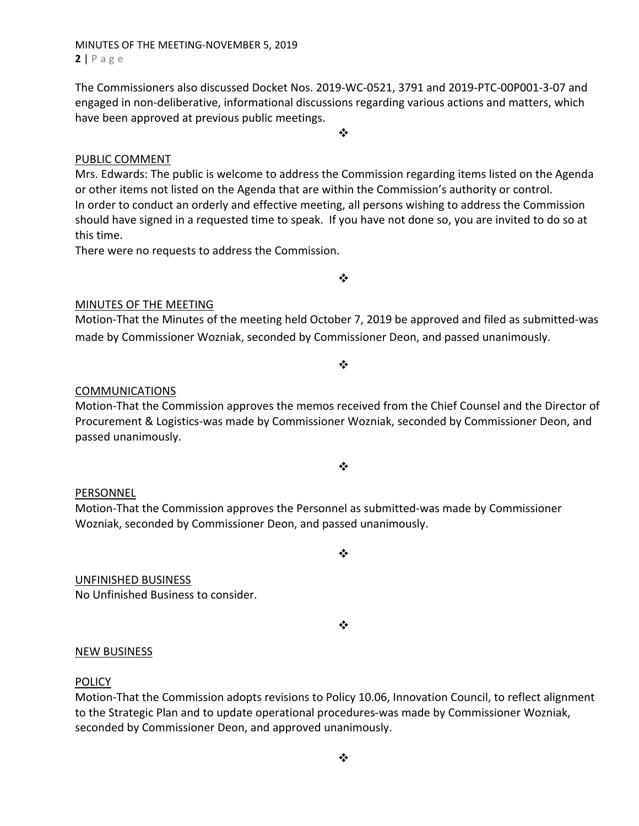## MINUTES OF THE MEETING‐NOVEMBER 5, 2019 **2** | Page

The Commissioners also discussed Docket Nos. 2019‐WC‐0521, 3791 and 2019‐PTC‐00P001‐3‐07 and engaged in non-deliberative, informational discussions regarding various actions and matters, which have been approved at previous public meetings.

❖

## PUBLIC COMMENT

Mrs. Edwards: The public is welcome to address the Commission regarding items listed on the Agenda or other items not listed on the Agenda that are within the Commission's authority or control. In order to conduct an orderly and effective meeting, all persons wishing to address the Commission should have signed in a requested time to speak. If you have not done so, you are invited to do so at this time.

There were no requests to address the Commission.

 $\frac{1}{2}$ 

## MINUTES OF THE MEETING

Motion‐That the Minutes of the meeting held October 7, 2019 be approved and filed as submitted‐was made by Commissioner Wozniak, seconded by Commissioner Deon, and passed unanimously.

## $\frac{1}{2}$

## COMMUNICATIONS

Motion‐That the Commission approves the memos received from the Chief Counsel and the Director of Procurement & Logistics‐was made by Commissioner Wozniak, seconded by Commissioner Deon, and passed unanimously.

#### ❖

### PERSONNEL

Motion‐That the Commission approves the Personnel as submitted‐was made by Commissioner Wozniak, seconded by Commissioner Deon, and passed unanimously.

UNFINISHED BUSINESS No Unfinished Business to consider.

 $\cdot$ 

❖

### NEW BUSINESS

### **POLICY**

Motion‐That the Commission adopts revisions to Policy 10.06, Innovation Council, to reflect alignment to the Strategic Plan and to update operational procedures‐was made by Commissioner Wozniak, seconded by Commissioner Deon, and approved unanimously.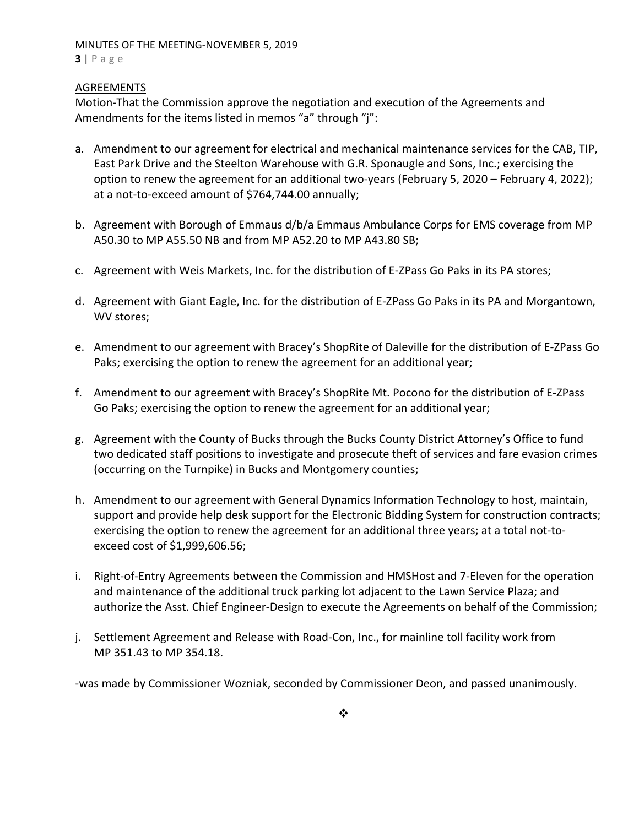## MINUTES OF THE MEETING‐NOVEMBER 5, 2019 **3** | Page

## **AGREEMENTS**

Motion‐That the Commission approve the negotiation and execution of the Agreements and Amendments for the items listed in memos "a" through "j":

- a. Amendment to our agreement for electrical and mechanical maintenance services for the CAB, TIP, East Park Drive and the Steelton Warehouse with G.R. Sponaugle and Sons, Inc.; exercising the option to renew the agreement for an additional two-years (February 5, 2020 – February 4, 2022); at a not‐to‐exceed amount of \$764,744.00 annually;
- b. Agreement with Borough of Emmaus d/b/a Emmaus Ambulance Corps for EMS coverage from MP A50.30 to MP A55.50 NB and from MP A52.20 to MP A43.80 SB;
- c. Agreement with Weis Markets, Inc. for the distribution of E‐ZPass Go Paks in its PA stores;
- d. Agreement with Giant Eagle, Inc. for the distribution of E‐ZPass Go Paks in its PA and Morgantown, WV stores;
- e. Amendment to our agreement with Bracey's ShopRite of Daleville for the distribution of E‐ZPass Go Paks; exercising the option to renew the agreement for an additional year;
- f. Amendment to our agreement with Bracey's ShopRite Mt. Pocono for the distribution of E‐ZPass Go Paks; exercising the option to renew the agreement for an additional year;
- g. Agreement with the County of Bucks through the Bucks County District Attorney's Office to fund two dedicated staff positions to investigate and prosecute theft of services and fare evasion crimes (occurring on the Turnpike) in Bucks and Montgomery counties;
- h. Amendment to our agreement with General Dynamics Information Technology to host, maintain, support and provide help desk support for the Electronic Bidding System for construction contracts; exercising the option to renew the agreement for an additional three years; at a total not-toexceed cost of \$1,999,606.56;
- i. Right-of-Entry Agreements between the Commission and HMSHost and 7-Eleven for the operation and maintenance of the additional truck parking lot adjacent to the Lawn Service Plaza; and authorize the Asst. Chief Engineer‐Design to execute the Agreements on behalf of the Commission;
- j. Settlement Agreement and Release with Road‐Con, Inc., for mainline toll facility work from MP 351.43 to MP 354.18.

‐was made by Commissioner Wozniak, seconded by Commissioner Deon, and passed unanimously.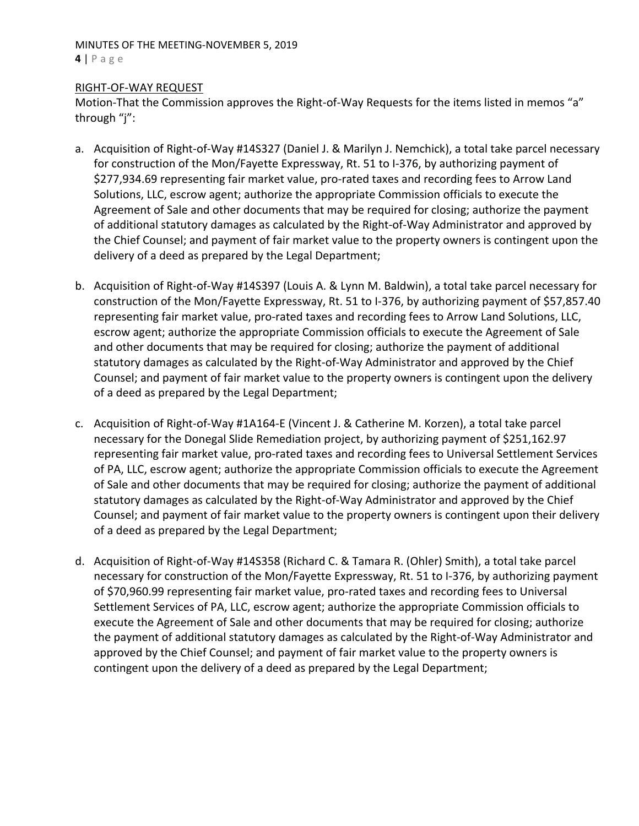## MINUTES OF THE MEETING‐NOVEMBER 5, 2019 **4** | Page

## RIGHT‐OF‐WAY REQUEST

Motion-That the Commission approves the Right-of-Way Requests for the items listed in memos "a" through "j":

- a. Acquisition of Right-of-Way #14S327 (Daniel J. & Marilyn J. Nemchick), a total take parcel necessary for construction of the Mon/Fayette Expressway, Rt. 51 to I‐376, by authorizing payment of \$277,934.69 representing fair market value, pro‐rated taxes and recording fees to Arrow Land Solutions, LLC, escrow agent; authorize the appropriate Commission officials to execute the Agreement of Sale and other documents that may be required for closing; authorize the payment of additional statutory damages as calculated by the Right‐of‐Way Administrator and approved by the Chief Counsel; and payment of fair market value to the property owners is contingent upon the delivery of a deed as prepared by the Legal Department;
- b. Acquisition of Right‐of‐Way #14S397 (Louis A. & Lynn M. Baldwin), a total take parcel necessary for construction of the Mon/Fayette Expressway, Rt. 51 to I‐376, by authorizing payment of \$57,857.40 representing fair market value, pro‐rated taxes and recording fees to Arrow Land Solutions, LLC, escrow agent; authorize the appropriate Commission officials to execute the Agreement of Sale and other documents that may be required for closing; authorize the payment of additional statutory damages as calculated by the Right‐of‐Way Administrator and approved by the Chief Counsel; and payment of fair market value to the property owners is contingent upon the delivery of a deed as prepared by the Legal Department;
- c. Acquisition of Right‐of‐Way #1A164‐E (Vincent J. & Catherine M. Korzen), a total take parcel necessary for the Donegal Slide Remediation project, by authorizing payment of \$251,162.97 representing fair market value, pro‐rated taxes and recording fees to Universal Settlement Services of PA, LLC, escrow agent; authorize the appropriate Commission officials to execute the Agreement of Sale and other documents that may be required for closing; authorize the payment of additional statutory damages as calculated by the Right‐of‐Way Administrator and approved by the Chief Counsel; and payment of fair market value to the property owners is contingent upon their delivery of a deed as prepared by the Legal Department;
- d. Acquisition of Right‐of‐Way #14S358 (Richard C. & Tamara R. (Ohler) Smith), a total take parcel necessary for construction of the Mon/Fayette Expressway, Rt. 51 to I‐376, by authorizing payment of \$70,960.99 representing fair market value, pro‐rated taxes and recording fees to Universal Settlement Services of PA, LLC, escrow agent; authorize the appropriate Commission officials to execute the Agreement of Sale and other documents that may be required for closing; authorize the payment of additional statutory damages as calculated by the Right‐of‐Way Administrator and approved by the Chief Counsel; and payment of fair market value to the property owners is contingent upon the delivery of a deed as prepared by the Legal Department;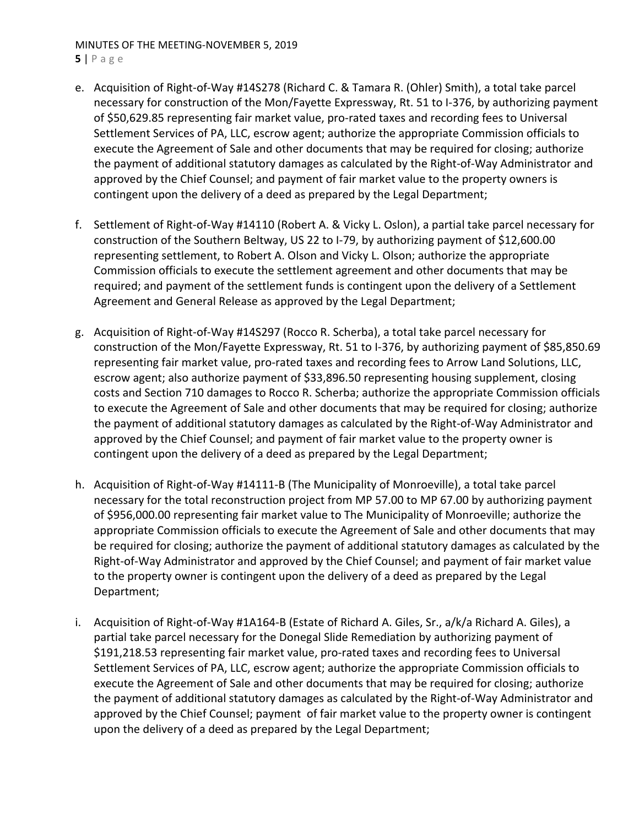# MINUTES OF THE MEETING‐NOVEMBER 5, 2019

- **5** | Page
- e. Acquisition of Right‐of‐Way #14S278 (Richard C. & Tamara R. (Ohler) Smith), a total take parcel necessary for construction of the Mon/Fayette Expressway, Rt. 51 to I‐376, by authorizing payment of \$50,629.85 representing fair market value, pro‐rated taxes and recording fees to Universal Settlement Services of PA, LLC, escrow agent; authorize the appropriate Commission officials to execute the Agreement of Sale and other documents that may be required for closing; authorize the payment of additional statutory damages as calculated by the Right‐of‐Way Administrator and approved by the Chief Counsel; and payment of fair market value to the property owners is contingent upon the delivery of a deed as prepared by the Legal Department;
- f. Settlement of Right‐of‐Way #14110 (Robert A. & Vicky L. Oslon), a partial take parcel necessary for construction of the Southern Beltway, US 22 to I‐79, by authorizing payment of \$12,600.00 representing settlement, to Robert A. Olson and Vicky L. Olson; authorize the appropriate Commission officials to execute the settlement agreement and other documents that may be required; and payment of the settlement funds is contingent upon the delivery of a Settlement Agreement and General Release as approved by the Legal Department;
- g. Acquisition of Right‐of‐Way #14S297 (Rocco R. Scherba), a total take parcel necessary for construction of the Mon/Fayette Expressway, Rt. 51 to I‐376, by authorizing payment of \$85,850.69 representing fair market value, pro‐rated taxes and recording fees to Arrow Land Solutions, LLC, escrow agent; also authorize payment of \$33,896.50 representing housing supplement, closing costs and Section 710 damages to Rocco R. Scherba; authorize the appropriate Commission officials to execute the Agreement of Sale and other documents that may be required for closing; authorize the payment of additional statutory damages as calculated by the Right‐of‐Way Administrator and approved by the Chief Counsel; and payment of fair market value to the property owner is contingent upon the delivery of a deed as prepared by the Legal Department;
- h. Acquisition of Right‐of‐Way #14111‐B (The Municipality of Monroeville), a total take parcel necessary for the total reconstruction project from MP 57.00 to MP 67.00 by authorizing payment of \$956,000.00 representing fair market value to The Municipality of Monroeville; authorize the appropriate Commission officials to execute the Agreement of Sale and other documents that may be required for closing; authorize the payment of additional statutory damages as calculated by the Right‐of‐Way Administrator and approved by the Chief Counsel; and payment of fair market value to the property owner is contingent upon the delivery of a deed as prepared by the Legal Department;
- i. Acquisition of Right‐of‐Way #1A164‐B (Estate of Richard A. Giles, Sr., a/k/a Richard A. Giles), a partial take parcel necessary for the Donegal Slide Remediation by authorizing payment of \$191,218.53 representing fair market value, pro‐rated taxes and recording fees to Universal Settlement Services of PA, LLC, escrow agent; authorize the appropriate Commission officials to execute the Agreement of Sale and other documents that may be required for closing; authorize the payment of additional statutory damages as calculated by the Right‐of‐Way Administrator and approved by the Chief Counsel; payment of fair market value to the property owner is contingent upon the delivery of a deed as prepared by the Legal Department;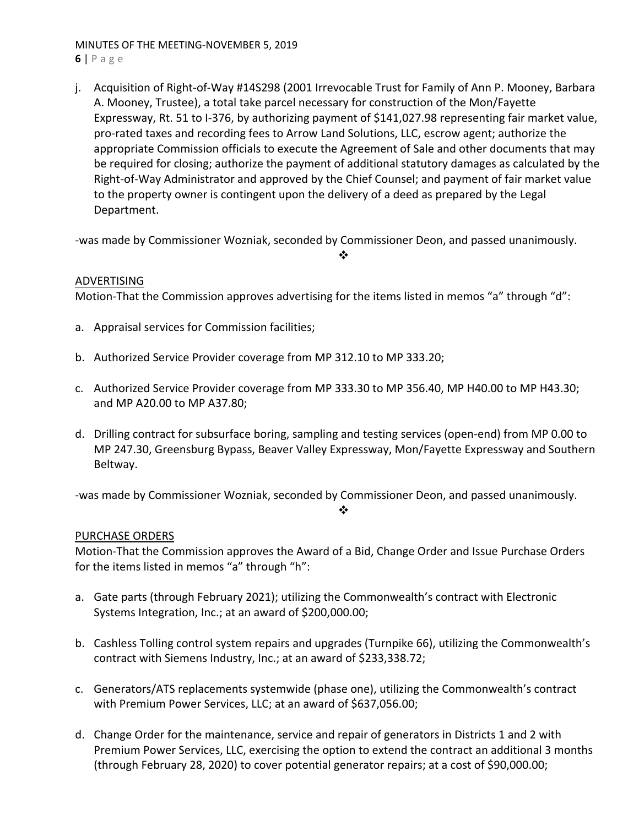## MINUTES OF THE MEETING‐NOVEMBER 5, 2019 **6** | Page

j. Acquisition of Right‐of‐Way #14S298 (2001 Irrevocable Trust for Family of Ann P. Mooney, Barbara A. Mooney, Trustee), a total take parcel necessary for construction of the Mon/Fayette Expressway, Rt. 51 to I-376, by authorizing payment of \$141,027.98 representing fair market value, pro‐rated taxes and recording fees to Arrow Land Solutions, LLC, escrow agent; authorize the appropriate Commission officials to execute the Agreement of Sale and other documents that may be required for closing; authorize the payment of additional statutory damages as calculated by the Right‐of‐Way Administrator and approved by the Chief Counsel; and payment of fair market value to the property owner is contingent upon the delivery of a deed as prepared by the Legal Department.

‐was made by Commissioner Wozniak, seconded by Commissioner Deon, and passed unanimously.

 $\mathbf{A}$ 

## ADVERTISING

Motion-That the Commission approves advertising for the items listed in memos "a" through "d":

- a. Appraisal services for Commission facilities;
- b. Authorized Service Provider coverage from MP 312.10 to MP 333.20;
- c. Authorized Service Provider coverage from MP 333.30 to MP 356.40, MP H40.00 to MP H43.30; and MP A20.00 to MP A37.80;
- d. Drilling contract for subsurface boring, sampling and testing services (open‐end) from MP 0.00 to MP 247.30, Greensburg Bypass, Beaver Valley Expressway, Mon/Fayette Expressway and Southern Beltway.

‐was made by Commissioner Wozniak, seconded by Commissioner Deon, and passed unanimously.

 $\cdot \cdot$ 

## PURCHASE ORDERS

Motion‐That the Commission approves the Award of a Bid, Change Order and Issue Purchase Orders for the items listed in memos "a" through "h":

- a. Gate parts (through February 2021); utilizing the Commonwealth's contract with Electronic Systems Integration, Inc.; at an award of \$200,000.00;
- b. Cashless Tolling control system repairs and upgrades (Turnpike 66), utilizing the Commonwealth's contract with Siemens Industry, Inc.; at an award of \$233,338.72;
- c. Generators/ATS replacements systemwide (phase one), utilizing the Commonwealth's contract with Premium Power Services, LLC; at an award of \$637,056.00;
- d. Change Order for the maintenance, service and repair of generators in Districts 1 and 2 with Premium Power Services, LLC, exercising the option to extend the contract an additional 3 months (through February 28, 2020) to cover potential generator repairs; at a cost of \$90,000.00;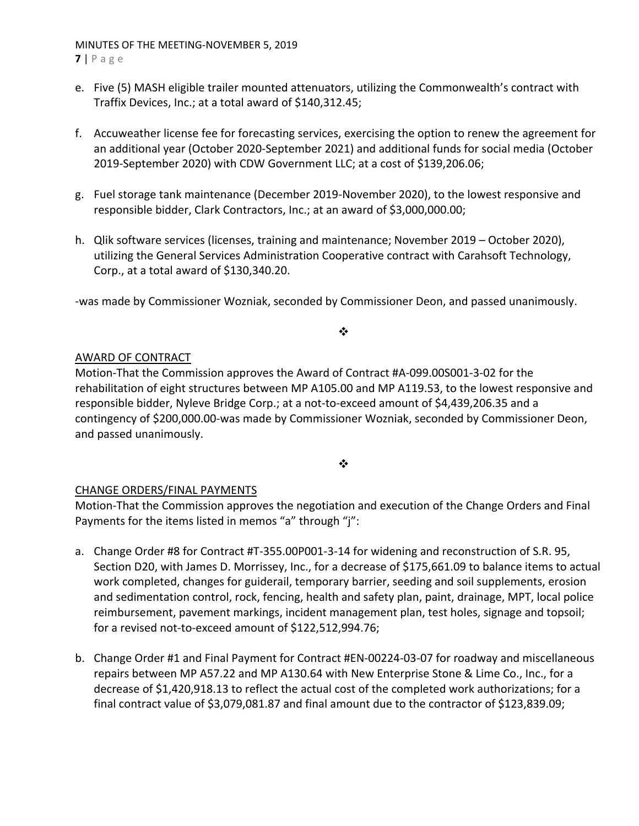## MINUTES OF THE MEETING‐NOVEMBER 5, 2019 **7** | Page

- e. Five (5) MASH eligible trailer mounted attenuators, utilizing the Commonwealth's contract with Traffix Devices, Inc.; at a total award of \$140,312.45;
- f. Accuweather license fee for forecasting services, exercising the option to renew the agreement for an additional year (October 2020‐September 2021) and additional funds for social media (October 2019‐September 2020) with CDW Government LLC; at a cost of \$139,206.06;
- g. Fuel storage tank maintenance (December 2019‐November 2020), to the lowest responsive and responsible bidder, Clark Contractors, Inc.; at an award of \$3,000,000.00;
- h. Qlik software services (licenses, training and maintenance; November 2019 October 2020), utilizing the General Services Administration Cooperative contract with Carahsoft Technology, Corp., at a total award of \$130,340.20.

‐was made by Commissioner Wozniak, seconded by Commissioner Deon, and passed unanimously.

## ❖

## AWARD OF CONTRACT

Motion‐That the Commission approves the Award of Contract #A‐099.00S001‐3‐02 for the rehabilitation of eight structures between MP A105.00 and MP A119.53, to the lowest responsive and responsible bidder, Nyleve Bridge Corp.; at a not‐to‐exceed amount of \$4,439,206.35 and a contingency of \$200,000.00‐was made by Commissioner Wozniak, seconded by Commissioner Deon, and passed unanimously.

## $\bullet \bullet$

## CHANGE ORDERS/FINAL PAYMENTS

Motion‐That the Commission approves the negotiation and execution of the Change Orders and Final Payments for the items listed in memos "a" through "j":

- a. Change Order #8 for Contract #T‐355.00P001‐3‐14 for widening and reconstruction of S.R. 95, Section D20, with James D. Morrissey, Inc., for a decrease of \$175,661.09 to balance items to actual work completed, changes for guiderail, temporary barrier, seeding and soil supplements, erosion and sedimentation control, rock, fencing, health and safety plan, paint, drainage, MPT, local police reimbursement, pavement markings, incident management plan, test holes, signage and topsoil; for a revised not-to-exceed amount of \$122,512,994.76;
- b. Change Order #1 and Final Payment for Contract #EN‐00224‐03‐07 for roadway and miscellaneous repairs between MP A57.22 and MP A130.64 with New Enterprise Stone & Lime Co., Inc., for a decrease of \$1,420,918.13 to reflect the actual cost of the completed work authorizations; for a final contract value of \$3,079,081.87 and final amount due to the contractor of \$123,839.09;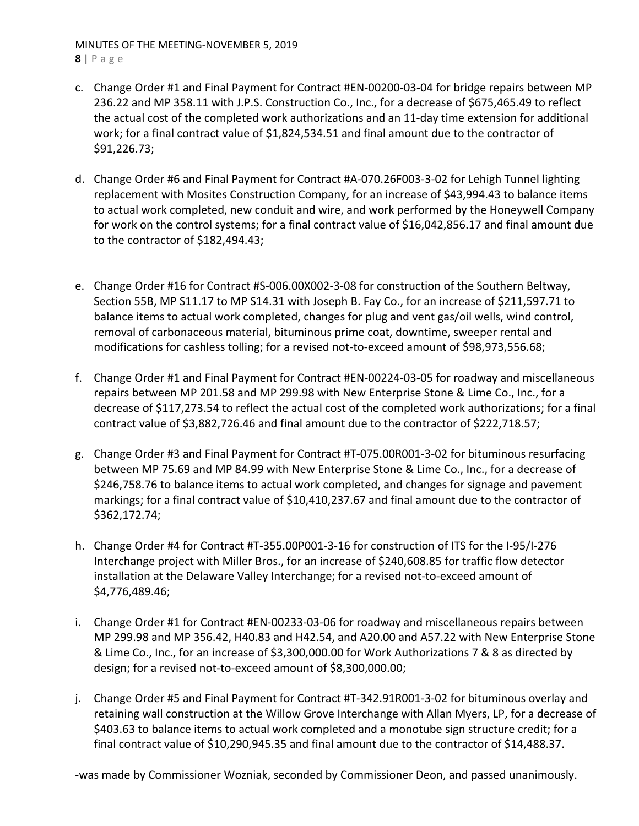## MINUTES OF THE MEETING‐NOVEMBER 5, 2019 **8** | Page

- c. Change Order #1 and Final Payment for Contract #EN‐00200‐03‐04 for bridge repairs between MP 236.22 and MP 358.11 with J.P.S. Construction Co., Inc., for a decrease of \$675,465.49 to reflect the actual cost of the completed work authorizations and an 11‐day time extension for additional work; for a final contract value of \$1,824,534.51 and final amount due to the contractor of \$91,226.73;
- d. Change Order #6 and Final Payment for Contract #A‐070.26F003‐3‐02 for Lehigh Tunnel lighting replacement with Mosites Construction Company, for an increase of \$43,994.43 to balance items to actual work completed, new conduit and wire, and work performed by the Honeywell Company for work on the control systems; for a final contract value of \$16,042,856.17 and final amount due to the contractor of \$182,494.43;
- e. Change Order #16 for Contract #S‐006.00X002‐3‐08 for construction of the Southern Beltway, Section 55B, MP S11.17 to MP S14.31 with Joseph B. Fay Co., for an increase of \$211,597.71 to balance items to actual work completed, changes for plug and vent gas/oil wells, wind control, removal of carbonaceous material, bituminous prime coat, downtime, sweeper rental and modifications for cashless tolling; for a revised not-to-exceed amount of \$98,973,556.68;
- f. Change Order #1 and Final Payment for Contract #EN‐00224‐03‐05 for roadway and miscellaneous repairs between MP 201.58 and MP 299.98 with New Enterprise Stone & Lime Co., Inc., for a decrease of \$117,273.54 to reflect the actual cost of the completed work authorizations; for a final contract value of \$3,882,726.46 and final amount due to the contractor of \$222,718.57;
- g. Change Order #3 and Final Payment for Contract #T‐075.00R001‐3‐02 for bituminous resurfacing between MP 75.69 and MP 84.99 with New Enterprise Stone & Lime Co., Inc., for a decrease of \$246,758.76 to balance items to actual work completed, and changes for signage and pavement markings; for a final contract value of \$10,410,237.67 and final amount due to the contractor of \$362,172.74;
- h. Change Order #4 for Contract #T‐355.00P001‐3‐16 for construction of ITS for the I‐95/I‐276 Interchange project with Miller Bros., for an increase of \$240,608.85 for traffic flow detector installation at the Delaware Valley Interchange; for a revised not‐to‐exceed amount of \$4,776,489.46;
- i. Change Order #1 for Contract #EN‐00233‐03‐06 for roadway and miscellaneous repairs between MP 299.98 and MP 356.42, H40.83 and H42.54, and A20.00 and A57.22 with New Enterprise Stone & Lime Co., Inc., for an increase of \$3,300,000.00 for Work Authorizations 7 & 8 as directed by design; for a revised not‐to‐exceed amount of \$8,300,000.00;
- j. Change Order #5 and Final Payment for Contract #T‐342.91R001‐3‐02 for bituminous overlay and retaining wall construction at the Willow Grove Interchange with Allan Myers, LP, for a decrease of \$403.63 to balance items to actual work completed and a monotube sign structure credit; for a final contract value of \$10,290,945.35 and final amount due to the contractor of \$14,488.37.

‐was made by Commissioner Wozniak, seconded by Commissioner Deon, and passed unanimously.